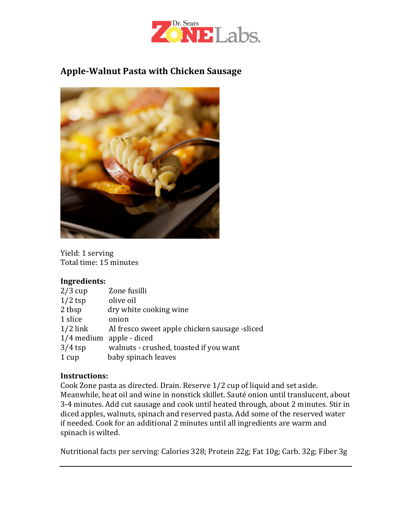

## Apple-Walnut Pasta with Chicken Sausage



Yield: 1 serving Total time: 15 minutes

#### Ingredients:

| $2/3$ cup  | Zone fusilli                                  |
|------------|-----------------------------------------------|
| $1/2$ tsp  | olive oil                                     |
| 2 tbsp     | dry white cooking wine                        |
| 1 slice    | onion                                         |
| $1/2$ link | Al fresco sweet apple chicken sausage -sliced |
|            | $1/4$ medium apple - diced                    |
| $3/4$ tsp  | walnuts - crushed, toasted if you want        |
| 1 cup      | baby spinach leaves                           |

#### Instructions:

Cook Zone pasta as directed. Drain. Reserve 1/2 cup of liquid and set aside. Meanwhile, heat oil and wine in nonstick skillet. Sauté onion until translucent, about 3-4 minutes. Add cut sausage and cook until heated through, about 2 minutes. Stir in diced apples, walnuts, spinach and reserved pasta. Add some of the reserved water if needed. Cook for an additional 2 minutes until all ingredients are warm and spinach is wilted.

Nutritional facts per serving: Calories 328; Protein 22g; Fat 10g; Carb. 32g; Fiber 3g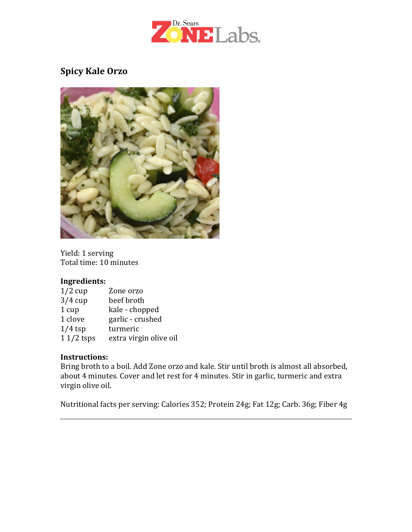

## Spicy Kale Orzo



Yield: 1 serving Total time: 10 minutes

#### Ingredients:

| $1/2$ cup   | Zone orzo              |
|-------------|------------------------|
| $3/4$ cup   | beef broth             |
| 1 cup       | kale - chopped         |
| 1 clove     | garlic - crushed       |
| $1/4$ tsp   | turmeric               |
| $11/2$ tsps | extra virgin olive oil |

#### Instructions:

Bring broth to a boil. Add Zone orzo and kale. Stir until broth is almost all absorbed, about 4 minutes. Cover and let rest for 4 minutes. Stir in garlic, turmeric and extra virgin olive oil.

Nutritional facts per serving: Calories 352; Protein 24g; Fat 12g; Carb. 36g; Fiber 4g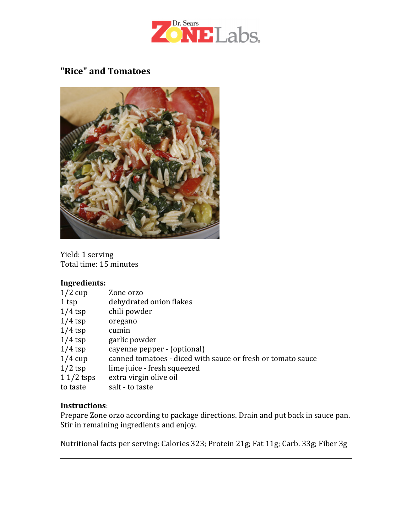

### "Rice" and Tomatoes



Yield: 1 serving Total time: 15 minutes

#### Ingredients:

| $1/2$ cup   | Zone orzo                                                   |
|-------------|-------------------------------------------------------------|
| 1 tsp       | dehydrated onion flakes                                     |
| $1/4$ tsp   | chili powder                                                |
| $1/4$ tsp   | oregano                                                     |
| $1/4$ tsp   | cumin                                                       |
| $1/4$ tsp   | garlic powder                                               |
| $1/4$ tsp   | cayenne pepper - (optional)                                 |
| $1/4$ cup   | canned tomatoes - diced with sauce or fresh or tomato sauce |
| $1/2$ tsp   | lime juice - fresh squeezed                                 |
| $11/2$ tsps | extra virgin olive oil                                      |
| to taste    | salt - to taste                                             |

#### Instructions:

Prepare Zone orzo according to package directions. Drain and put back in sauce pan. Stir in remaining ingredients and enjoy.

Nutritional facts per serving: Calories 323; Protein 21g; Fat 11g; Carb. 33g; Fiber 3g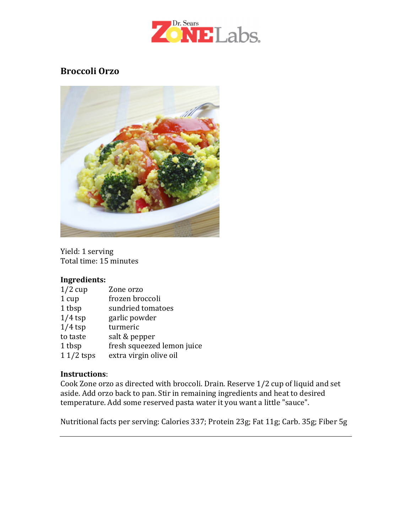

## Broccoli Orzo



Yield: 1 serving Total time: 15 minutes

#### Ingredients:

| $1/2$ cup   | Zone orzo                  |
|-------------|----------------------------|
| 1 cup       | frozen broccoli            |
| 1 tbsp      | sundried tomatoes          |
| $1/4$ tsp   | garlic powder              |
| $1/4$ tsp   | turmeric                   |
| to taste    | salt & pepper              |
| 1 tbsp      | fresh squeezed lemon juice |
| $11/2$ tsps | extra virgin olive oil     |

#### Instructions:

Cook Zone orzo as directed with broccoli. Drain. Reserve 1/2 cup of liquid and set aside. Add orzo back to pan. Stir in remaining ingredients and heat to desired temperature. Add some reserved pasta water it you want a little "sauce".

Nutritional facts per serving: Calories 337; Protein 23g; Fat 11g; Carb. 35g; Fiber 5g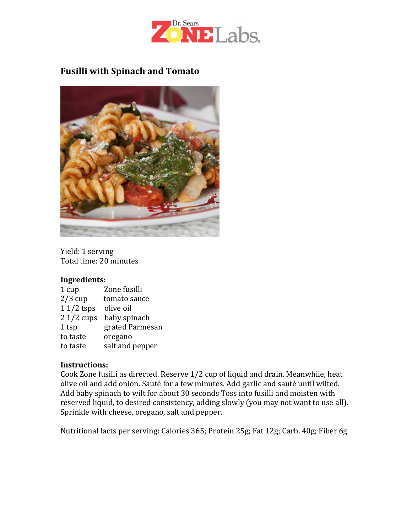

## Fusilli with Spinach and Tomato



Yield: 1 serving Total time: 20 minutes

#### Ingredients:

| 1 cup       | Zone fusilli    |
|-------------|-----------------|
| $2/3$ cup   | tomato sauce    |
| $11/2$ tsps | olive oil       |
| $21/2$ cups | baby spinach    |
| 1 tsp       | grated Parmesan |
| to taste    | oregano         |
| to taste    | salt and pepper |

#### Instructions:

Cook Zone fusilli as directed. Reserve 1/2 cup of liquid and drain. Meanwhile, heat olive oil and add onion. Sauté for a few minutes. Add garlic and sauté until wilted. Add baby spinach to wilt for about 30 seconds Toss into fusilli and moisten with reserved liquid, to desired consistency, adding slowly (you may not want to use all). Sprinkle with cheese, oregano, salt and pepper.

Nutritional facts per serving: Calories 365; Protein 25g; Fat 12g; Carb. 40g; Fiber 6g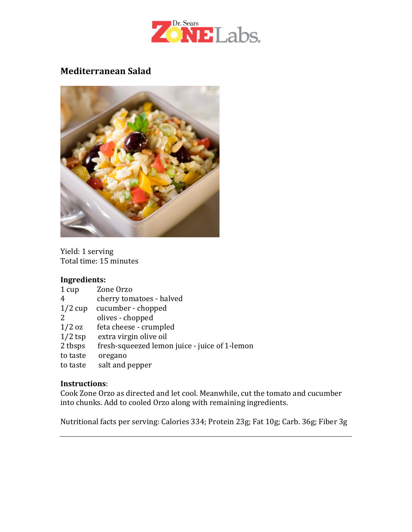

### Mediterranean Salad



Yield: 1 serving Total time: 15 minutes

#### Ingredients:

| 1 cup     | Zone Orzo                                     |
|-----------|-----------------------------------------------|
| 4         | cherry tomatoes - halved                      |
| $1/2$ cup | cucumber - chopped                            |
| 2         | olives - chopped                              |
| $1/2$ oz  | feta cheese - crumpled                        |
| $1/2$ tsp | extra virgin olive oil                        |
| 2 tbsps   | fresh-squeezed lemon juice - juice of 1-lemon |
| to taste  | oregano                                       |
| to taste  | salt and pepper                               |

#### Instructions:

Cook Zone Orzo as directed and let cool. Meanwhile, cut the tomato and cucumber into chunks. Add to cooled Orzo along with remaining ingredients.

Nutritional facts per serving: Calories 334; Protein 23g; Fat 10g; Carb. 36g; Fiber 3g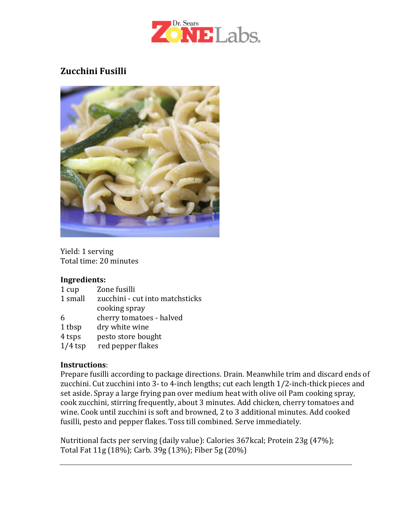

# Zucchini Fusilli



Yield: 1 serving Total time: 20 minutes

#### Ingredients:

| 1 cup     | Zone fusilli                    |
|-----------|---------------------------------|
| 1 small   | zucchini - cut into matchsticks |
|           | cooking spray                   |
| 6         | cherry tomatoes - halved        |
| 1 tbsp    | dry white wine                  |
| 4 tsps    | pesto store bought              |
| $1/4$ tsp | red pepper flakes               |
|           |                                 |

#### Instructions:

Prepare fusilli according to package directions. Drain. Meanwhile trim and discard ends of zucchini. Cut zucchini into 3- to 4-inch lengths; cut each length 1/2-inch-thick pieces and set aside. Spray a large frying pan over medium heat with olive oil Pam cooking spray, cook zucchini, stirring frequently, about 3 minutes. Add chicken, cherry tomatoes and wine. Cook until zucchini is soft and browned, 2 to 3 additional minutes. Add cooked fusilli, pesto and pepper flakes. Toss till combined. Serve immediately.

Nutritional facts per serving (daily value): Calories 367kcal; Protein 23g (47%); Total Fat 11g (18%); Carb. 39g (13%); Fiber 5g (20%)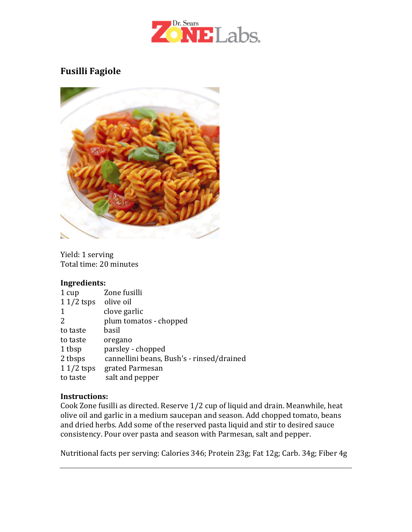

## Fusilli Fagiole



Yield: 1 serving Total time: 20 minutes

#### Ingredients:

| 1 cup       | Zone fusilli                              |
|-------------|-------------------------------------------|
| $11/2$ tsps | olive oil                                 |
| 1           | clove garlic                              |
| 2           | plum tomatos - chopped                    |
| to taste    | basil                                     |
| to taste    | oregano                                   |
| 1 tbsp      | parsley - chopped                         |
| 2 tbsps     | cannellini beans, Bush's - rinsed/drained |
| $11/2$ tsps | grated Parmesan                           |
| to taste    | salt and pepper                           |

#### Instructions:

Cook Zone fusilli as directed. Reserve 1/2 cup of liquid and drain. Meanwhile, heat olive oil and garlic in a medium saucepan and season. Add chopped tomato, beans and dried herbs. Add some of the reserved pasta liquid and stir to desired sauce consistency. Pour over pasta and season with Parmesan, salt and pepper.

Nutritional facts per serving: Calories 346; Protein 23g; Fat 12g; Carb. 34g; Fiber 4g